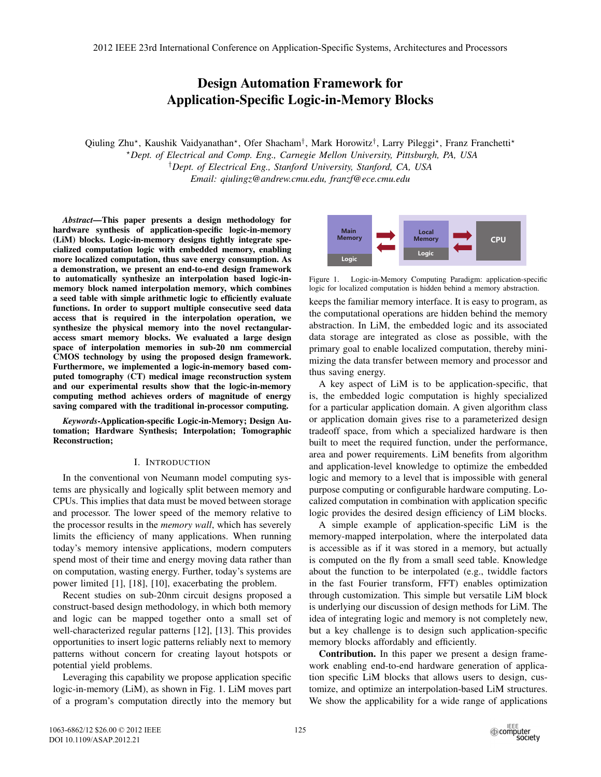# Design Automation Framework for Application-Specific Logic-in-Memory Blocks

Qiuling Zhu*<sup>⋆</sup>* , Kaushik Vaidyanathan*<sup>⋆</sup>* , Ofer Shacham*†* , Mark Horowitz*†* , Larry Pileggi*<sup>⋆</sup>* , Franz Franchetti*<sup>⋆</sup>*

*<sup>⋆</sup>Dept. of Electrical and Comp. Eng., Carnegie Mellon University, Pittsburgh, PA, USA †Dept. of Electrical Eng., Stanford University, Stanford, CA, USA*

*Email: qiulingz@andrew.cmu.edu, franzf@ece.cmu.edu*

*Abstract*—This paper presents a design methodology for hardware synthesis of application-specific logic-in-memory (LiM) blocks. Logic-in-memory designs tightly integrate specialized computation logic with embedded memory, enabling more localized computation, thus save energy consumption. As a demonstration, we present an end-to-end design framework to automatically synthesize an interpolation based logic-inmemory block named interpolation memory, which combines a seed table with simple arithmetic logic to efficiently evaluate functions. In order to support multiple consecutive seed data access that is required in the interpolation operation, we synthesize the physical memory into the novel rectangularaccess smart memory blocks. We evaluated a large design space of interpolation memories in sub-20 nm commercial CMOS technology by using the proposed design framework. Furthermore, we implemented a logic-in-memory based computed tomography (CT) medical image reconstruction system and our experimental results show that the logic-in-memory computing method achieves orders of magnitude of energy saving compared with the traditional in-processor computing.

*Keywords*-Application-specific Logic-in-Memory; Design Automation; Hardware Synthesis; Interpolation; Tomographic Reconstruction;

#### I. INTRODUCTION

In the conventional von Neumann model computing systems are physically and logically split between memory and CPUs. This implies that data must be moved between storage and processor. The lower speed of the memory relative to the processor results in the *memory wall*, which has severely limits the efficiency of many applications. When running today's memory intensive applications, modern computers spend most of their time and energy moving data rather than on computation, wasting energy. Further, today's systems are power limited [1], [18], [10], exacerbating the problem.

Recent studies on sub-20nm circuit designs proposed a construct-based design methodology, in which both memory and logic can be mapped together onto a small set of well-characterized regular patterns [12], [13]. This provides opportunities to insert logic patterns reliably next to memory patterns without concern for creating layout hotspots or potential yield problems.

Leveraging this capability we propose application specific logic-in-memory (LiM), as shown in Fig. 1. LiM moves part of a program's computation directly into the memory but



Figure 1. Logic-in-Memory Computing Paradigm: application-specific logic for localized computation is hidden behind a memory abstraction.

keeps the familiar memory interface. It is easy to program, as the computational operations are hidden behind the memory abstraction. In LiM, the embedded logic and its associated data storage are integrated as close as possible, with the primary goal to enable localized computation, thereby minimizing the data transfer between memory and processor and thus saving energy.

A key aspect of LiM is to be application-specific, that is, the embedded logic computation is highly specialized for a particular application domain. A given algorithm class or application domain gives rise to a parameterized design tradeoff space, from which a specialized hardware is then built to meet the required function, under the performance, area and power requirements. LiM benefits from algorithm and application-level knowledge to optimize the embedded logic and memory to a level that is impossible with general purpose computing or configurable hardware computing. Localized computation in combination with application specific logic provides the desired design efficiency of LiM blocks.

A simple example of application-specific LiM is the memory-mapped interpolation, where the interpolated data is accessible as if it was stored in a memory, but actually is computed on the fly from a small seed table. Knowledge about the function to be interpolated (e.g., twiddle factors in the fast Fourier transform, FFT) enables optimization through customization. This simple but versatile LiM block is underlying our discussion of design methods for LiM. The idea of integrating logic and memory is not completely new, but a key challenge is to design such application-specific memory blocks affordably and efficiently.

Contribution. In this paper we present a design framework enabling end-to-end hardware generation of application specific LiM blocks that allows users to design, customize, and optimize an interpolation-based LiM structures. We show the applicability for a wide range of applications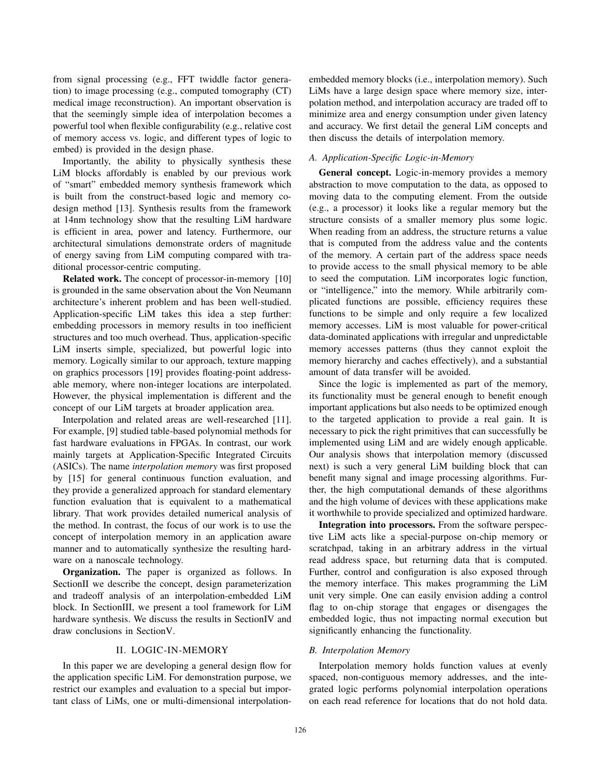from signal processing (e.g., FFT twiddle factor generation) to image processing (e.g., computed tomography (CT) medical image reconstruction). An important observation is that the seemingly simple idea of interpolation becomes a powerful tool when flexible configurability (e.g., relative cost of memory access vs. logic, and different types of logic to embed) is provided in the design phase.

Importantly, the ability to physically synthesis these LiM blocks affordably is enabled by our previous work of "smart" embedded memory synthesis framework which is built from the construct-based logic and memory codesign method [13]. Synthesis results from the framework at 14nm technology show that the resulting LiM hardware is efficient in area, power and latency. Furthermore, our architectural simulations demonstrate orders of magnitude of energy saving from LiM computing compared with traditional processor-centric computing.

Related work. The concept of processor-in-memory [10] is grounded in the same observation about the Von Neumann architecture's inherent problem and has been well-studied. Application-specific LiM takes this idea a step further: embedding processors in memory results in too inefficient structures and too much overhead. Thus, application-specific LiM inserts simple, specialized, but powerful logic into memory. Logically similar to our approach, texture mapping on graphics processors [19] provides floating-point addressable memory, where non-integer locations are interpolated. However, the physical implementation is different and the concept of our LiM targets at broader application area.

Interpolation and related areas are well-researched [11]. For example, [9] studied table-based polynomial methods for fast hardware evaluations in FPGAs. In contrast, our work mainly targets at Application-Specific Integrated Circuits (ASICs). The name *interpolation memory* was first proposed by [15] for general continuous function evaluation, and they provide a generalized approach for standard elementary function evaluation that is equivalent to a mathematical library. That work provides detailed numerical analysis of the method. In contrast, the focus of our work is to use the concept of interpolation memory in an application aware manner and to automatically synthesize the resulting hardware on a nanoscale technology.

Organization. The paper is organized as follows. In SectionII we describe the concept, design parameterization and tradeoff analysis of an interpolation-embedded LiM block. In SectionIII, we present a tool framework for LiM hardware synthesis. We discuss the results in SectionIV and draw conclusions in SectionV.

#### II. LOGIC-IN-MEMORY

In this paper we are developing a general design flow for the application specific LiM. For demonstration purpose, we restrict our examples and evaluation to a special but important class of LiMs, one or multi-dimensional interpolationembedded memory blocks (i.e., interpolation memory). Such LiMs have a large design space where memory size, interpolation method, and interpolation accuracy are traded off to minimize area and energy consumption under given latency and accuracy. We first detail the general LiM concepts and then discuss the details of interpolation memory.

### *A. Application-Specific Logic-in-Memory*

General concept. Logic-in-memory provides a memory abstraction to move computation to the data, as opposed to moving data to the computing element. From the outside (e.g., a processor) it looks like a regular memory but the structure consists of a smaller memory plus some logic. When reading from an address, the structure returns a value that is computed from the address value and the contents of the memory. A certain part of the address space needs to provide access to the small physical memory to be able to seed the computation. LiM incorporates logic function, or "intelligence," into the memory. While arbitrarily complicated functions are possible, efficiency requires these functions to be simple and only require a few localized memory accesses. LiM is most valuable for power-critical data-dominated applications with irregular and unpredictable memory accesses patterns (thus they cannot exploit the memory hierarchy and caches effectively), and a substantial amount of data transfer will be avoided.

Since the logic is implemented as part of the memory, its functionality must be general enough to benefit enough important applications but also needs to be optimized enough to the targeted application to provide a real gain. It is necessary to pick the right primitives that can successfully be implemented using LiM and are widely enough applicable. Our analysis shows that interpolation memory (discussed next) is such a very general LiM building block that can benefit many signal and image processing algorithms. Further, the high computational demands of these algorithms and the high volume of devices with these applications make it worthwhile to provide specialized and optimized hardware.

Integration into processors. From the software perspective LiM acts like a special-purpose on-chip memory or scratchpad, taking in an arbitrary address in the virtual read address space, but returning data that is computed. Further, control and configuration is also exposed through the memory interface. This makes programming the LiM unit very simple. One can easily envision adding a control flag to on-chip storage that engages or disengages the embedded logic, thus not impacting normal execution but significantly enhancing the functionality.

## *B. Interpolation Memory*

Interpolation memory holds function values at evenly spaced, non-contiguous memory addresses, and the integrated logic performs polynomial interpolation operations on each read reference for locations that do not hold data.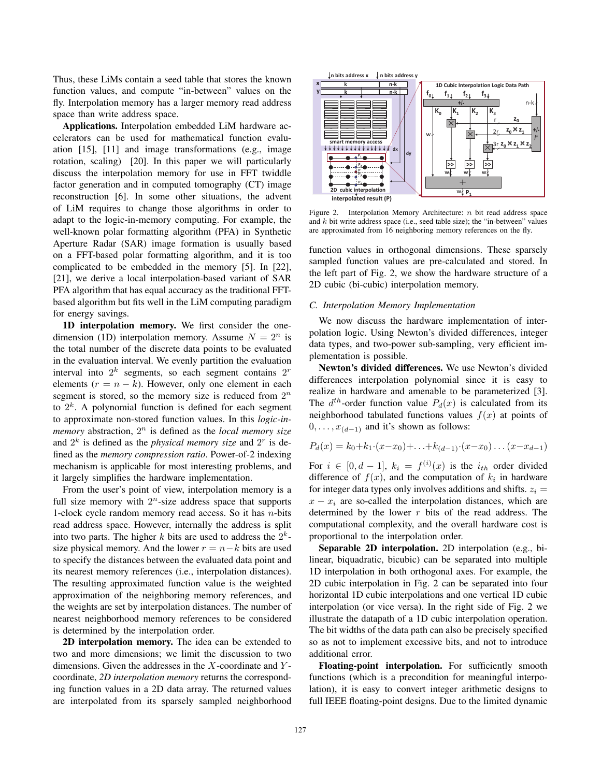Thus, these LiMs contain a seed table that stores the known function values, and compute "in-between" values on the fly. Interpolation memory has a larger memory read address space than write address space.

Applications. Interpolation embedded LiM hardware accelerators can be used for mathematical function evaluation [15], [11] and image transformations (e.g., image rotation, scaling) [20]. In this paper we will particularly discuss the interpolation memory for use in FFT twiddle factor generation and in computed tomography (CT) image reconstruction [6]. In some other situations, the advent of LiM requires to change those algorithms in order to adapt to the logic-in-memory computing. For example, the well-known polar formatting algorithm (PFA) in Synthetic Aperture Radar (SAR) image formation is usually based on a FFT-based polar formatting algorithm, and it is too complicated to be embedded in the memory [5]. In [22], [21], we derive a local interpolation-based variant of SAR PFA algorithm that has equal accuracy as the traditional FFTbased algorithm but fits well in the LiM computing paradigm for energy savings.

1D interpolation memory. We first consider the onedimension (1D) interpolation memory. Assume  $N = 2^n$  is the total number of the discrete data points to be evaluated in the evaluation interval. We evenly partition the evaluation interval into  $2^k$  segments, so each segment contains  $2^r$ elements  $(r = n - k)$ . However, only one element in each segment is stored, so the memory size is reduced from 2 *n* to  $2<sup>k</sup>$ . A polynomial function is defined for each segment to approximate non-stored function values. In this *logic-inmemory* abstraction, 2 *<sup>n</sup>* is defined as the *local memory size* and  $2^k$  is defined as the *physical memory size* and  $2^r$  is defined as the *memory compression ratio*. Power-of-2 indexing mechanism is applicable for most interesting problems, and it largely simplifies the hardware implementation.

From the user's point of view, interpolation memory is a full size memory with  $2^n$ -size address space that supports 1-clock cycle random memory read access. So it has *n*-bits read address space. However, internally the address is split into two parts. The higher  $k$  bits are used to address the  $2^k$ size physical memory. And the lower  $r = n - k$  bits are used to specify the distances between the evaluated data point and its nearest memory references (i.e., interpolation distances). The resulting approximated function value is the weighted approximation of the neighboring memory references, and the weights are set by interpolation distances. The number of nearest neighborhood memory references to be considered is determined by the interpolation order.

2D interpolation memory. The idea can be extended to two and more dimensions; we limit the discussion to two dimensions. Given the addresses in the *X*-coordinate and *Y* coordinate, *2D interpolation memory* returns the corresponding function values in a 2D data array. The returned values are interpolated from its sparsely sampled neighborhood



Figure 2. Interpolation Memory Architecture: *n* bit read address space and *k* bit write address space (i.e., seed table size); the "in-between" values are approximated from 16 neighboring memory references on the fly.

function values in orthogonal dimensions. These sparsely sampled function values are pre-calculated and stored. In the left part of Fig. 2, we show the hardware structure of a 2D cubic (bi-cubic) interpolation memory.

#### *C. Interpolation Memory Implementation*

We now discuss the hardware implementation of interpolation logic. Using Newton's divided differences, integer data types, and two-power sub-sampling, very efficient implementation is possible.

Newton's divided differences. We use Newton's divided differences interpolation polynomial since it is easy to realize in hardware and amenable to be parameterized [3]. The  $d^{th}$ -order function value  $P_d(x)$  is calculated from its neighborhood tabulated functions values  $f(x)$  at points of 0*, . . . , x*(*d−*1) and it's shown as follows:

$$
P_d(x) = k_0 + k_1 \cdot (x - x_0) + \ldots + k_{(d-1)} \cdot (x - x_0) \ldots (x - x_{d-1})
$$

For  $i \in [0, d-1]$ ,  $k_i = f^{(i)}(x)$  is the  $i_{th}$  order divided difference of  $f(x)$ , and the computation of  $k_i$  in hardware for integer data types only involves additions and shifts.  $z_i =$  $x - x_i$  are so-called the interpolation distances, which are determined by the lower *r* bits of the read address. The computational complexity, and the overall hardware cost is proportional to the interpolation order.

Separable 2D interpolation. 2D interpolation (e.g., bilinear, biquadratic, bicubic) can be separated into multiple 1D interpolation in both orthogonal axes. For example, the 2D cubic interpolation in Fig. 2 can be separated into four horizontal 1D cubic interpolations and one vertical 1D cubic interpolation (or vice versa). In the right side of Fig. 2 we illustrate the datapath of a 1D cubic interpolation operation. The bit widths of the data path can also be precisely specified so as not to implement excessive bits, and not to introduce additional error.

Floating-point interpolation. For sufficiently smooth functions (which is a precondition for meaningful interpolation), it is easy to convert integer arithmetic designs to full IEEE floating-point designs. Due to the limited dynamic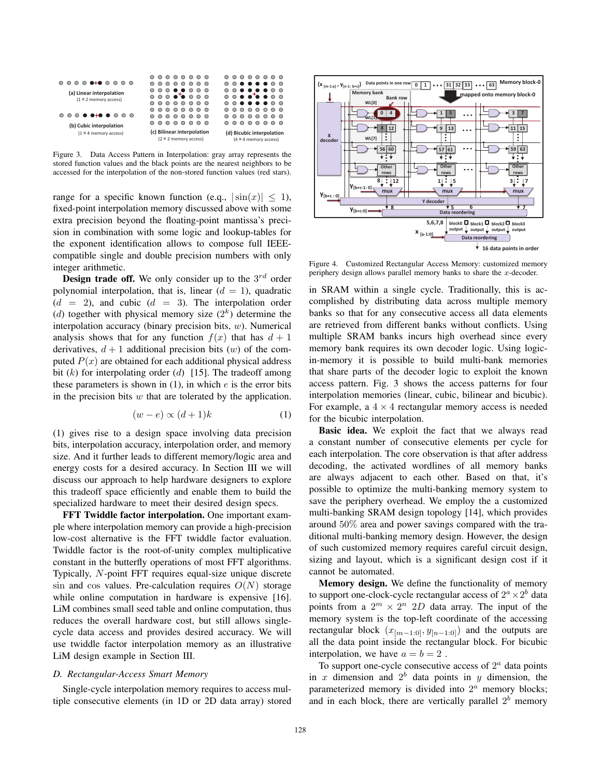

Figure 3. Data Access Pattern in Interpolation: gray array represents the stored function values and the black points are the nearest neighbors to be accessed for the interpolation of the non-stored function values (red stars).

range for a specific known function (e.q.,  $|\sin(x)| \leq 1$ ), fixed-point interpolation memory discussed above with some extra precision beyond the floating-point mantissa's precision in combination with some logic and lookup-tables for the exponent identification allows to compose full IEEEcompatible single and double precision numbers with only integer arithmetic.

Design trade off. We only consider up to the 3 *rd* order polynomial interpolation, that is, linear  $(d = 1)$ , quadratic  $(d = 2)$ , and cubic  $(d = 3)$ . The interpolation order (*d*) together with physical memory size  $(2<sup>k</sup>)$  determine the interpolation accuracy (binary precision bits, *w*). Numerical analysis shows that for any function  $f(x)$  that has  $d + 1$ derivatives,  $d + 1$  additional precision bits (*w*) of the computed  $P(x)$  are obtained for each additional physical address bit (*k*) for interpolating order (*d*) [15]. The tradeoff among these parameters is shown in  $(1)$ , in which  $e$  is the error bits in the precision bits *w* that are tolerated by the application.

$$
(w - e) \propto (d+1)k \tag{1}
$$

(1) gives rise to a design space involving data precision bits, interpolation accuracy, interpolation order, and memory size. And it further leads to different memory/logic area and energy costs for a desired accuracy. In Section III we will discuss our approach to help hardware designers to explore this tradeoff space efficiently and enable them to build the specialized hardware to meet their desired design specs.

FFT Twiddle factor interpolation. One important example where interpolation memory can provide a high-precision low-cost alternative is the FFT twiddle factor evaluation. Twiddle factor is the root-of-unity complex multiplicative constant in the butterfly operations of most FFT algorithms. Typically, *N*-point FFT requires equal-size unique discrete sin and cos values. Pre-calculation requires  $O(N)$  storage while online computation in hardware is expensive [16]. LiM combines small seed table and online computation, thus reduces the overall hardware cost, but still allows singlecycle data access and provides desired accuracy. We will use twiddle factor interpolation memory as an illustrative LiM design example in Section III.

#### *D. Rectangular-Access Smart Memory*

Single-cycle interpolation memory requires to access multiple consecutive elements (in 1D or 2D data array) stored



Figure 4. Customized Rectangular Access Memory: customized memory periphery design allows parallel memory banks to share the *x*-decoder.

in SRAM within a single cycle. Traditionally, this is accomplished by distributing data across multiple memory banks so that for any consecutive access all data elements are retrieved from different banks without conflicts. Using multiple SRAM banks incurs high overhead since every memory bank requires its own decoder logic. Using logicin-memory it is possible to build multi-bank memories that share parts of the decoder logic to exploit the known access pattern. Fig. 3 shows the access patterns for four interpolation memories (linear, cubic, bilinear and bicubic). For example, a  $4 \times 4$  rectangular memory access is needed for the bicubic interpolation.

Basic idea. We exploit the fact that we always read a constant number of consecutive elements per cycle for each interpolation. The core observation is that after address decoding, the activated wordlines of all memory banks are always adjacent to each other. Based on that, it's possible to optimize the multi-banking memory system to save the periphery overhead. We employ the a customized multi-banking SRAM design topology [14], which provides around 50% area and power savings compared with the traditional multi-banking memory design. However, the design of such customized memory requires careful circuit design, sizing and layout, which is a significant design cost if it cannot be automated.

Memory design. We define the functionality of memory to support one-clock-cycle rectangular access of  $2^a \times 2^b$  data points from a  $2^m \times 2^n$  2D data array. The input of the memory system is the top-left coordinate of the accessing rectangular block  $(x_{[m-1:0]}, y_{[n-1:0]})$  and the outputs are all the data point inside the rectangular block. For bicubic interpolation, we have  $a = b = 2$ .

To support one-cycle consecutive access of  $2<sup>a</sup>$  data points in *x* dimension and  $2^b$  data points in *y* dimension, the parameterized memory is divided into  $2^a$  memory blocks; and in each block, there are vertically parallel  $2<sup>b</sup>$  memory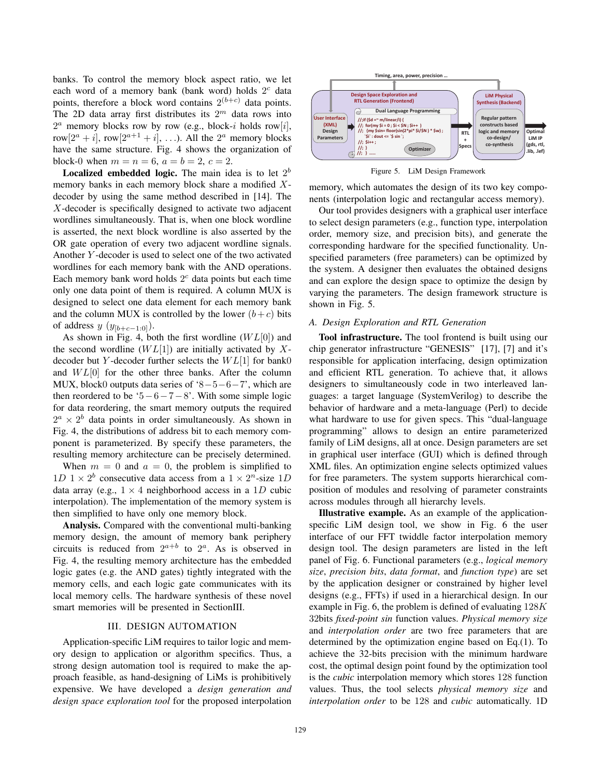banks. To control the memory block aspect ratio, we let each word of a memory bank (bank word) holds 2 *<sup>c</sup>* data points, therefore a block word contains  $2^{(b+c)}$  data points. The 2D data array first distributes its  $2^m$  data rows into  $2^a$  memory blocks row by row (e.g., block-*i* holds row[*i*], row $[2^a + i]$ , row $[2^{a+1} + i]$ , ...). All the  $2^a$  memory blocks have the same structure. Fig. 4 shows the organization of block-0 when  $m = n = 6$ ,  $a = b = 2$ ,  $c = 2$ .

Localized embedded logic. The main idea is to let 2<sup>b</sup> memory banks in each memory block share a modified *X*decoder by using the same method described in [14]. The *X*-decoder is specifically designed to activate two adjacent wordlines simultaneously. That is, when one block wordline is asserted, the next block wordline is also asserted by the OR gate operation of every two adjacent wordline signals. Another *Y* -decoder is used to select one of the two activated wordlines for each memory bank with the AND operations. Each memory bank word holds 2 *<sup>c</sup>* data points but each time only one data point of them is required. A column MUX is designed to select one data element for each memory bank and the column MUX is controlled by the lower  $(b+c)$  bits of address  $y(y_{b+c-1:0})$ .

As shown in Fig. 4, both the first wordline (*W L*[0]) and the second wordline (*W L*[1]) are initially activated by *X*decoder but *Y* -decoder further selects the *W L*[1] for bank0 and *W L*[0] for the other three banks. After the column MUX, block0 outputs data series of '8*−*5*−*6*−*7', which are then reordered to be '5*−*6*−*7*−*8'. With some simple logic for data reordering, the smart memory outputs the required  $2^a \times 2^b$  data points in order simultaneously. As shown in Fig. 4, the distributions of address bit to each memory component is parameterized. By specify these parameters, the resulting memory architecture can be precisely determined.

When  $m = 0$  and  $a = 0$ , the problem is simplified to  $1D \cdot 1 \times 2^b$  consecutive data access from a  $1 \times 2^n$ -size  $1D$ data array (e.g.,  $1 \times 4$  neighborhood access in a 1*D* cubic interpolation). The implementation of the memory system is then simplified to have only one memory block.

Analysis. Compared with the conventional multi-banking memory design, the amount of memory bank periphery circuits is reduced from  $2^{a+b}$  to  $2^a$ . As is observed in Fig. 4, the resulting memory architecture has the embedded logic gates (e.g. the AND gates) tightly integrated with the memory cells, and each logic gate communicates with its local memory cells. The hardware synthesis of these novel smart memories will be presented in SectionIII.

#### III. DESIGN AUTOMATION

Application-specific LiM requires to tailor logic and memory design to application or algorithm specifics. Thus, a strong design automation tool is required to make the approach feasible, as hand-designing of LiMs is prohibitively expensive. We have developed a *design generation and design space exploration tool* for the proposed interpolation



Figure 5. LiM Design Framework

memory, which automates the design of its two key components (interpolation logic and rectangular access memory).

Our tool provides designers with a graphical user interface to select design parameters (e.g., function type, interpolation order, memory size, and precision bits), and generate the corresponding hardware for the specified functionality. Unspecified parameters (free parameters) can be optimized by the system. A designer then evaluates the obtained designs and can explore the design space to optimize the design by varying the parameters. The design framework structure is shown in Fig. 5.

#### *A. Design Exploration and RTL Generation*

Tool infrastructure. The tool frontend is built using our chip generator infrastructure "GENESIS" [17], [7] and it's responsible for application interfacing, design optimization and efficient RTL generation. To achieve that, it allows designers to simultaneously code in two interleaved languages: a target language (SystemVerilog) to describe the behavior of hardware and a meta-language (Perl) to decide what hardware to use for given specs. This "dual-language programming" allows to design an entire parameterized family of LiM designs, all at once. Design parameters are set in graphical user interface (GUI) which is defined through XML files. An optimization engine selects optimized values for free parameters. The system supports hierarchical composition of modules and resolving of parameter constraints across modules through all hierarchy levels.

Illustrative example. As an example of the applicationspecific LiM design tool, we show in Fig. 6 the user interface of our FFT twiddle factor interpolation memory design tool. The design parameters are listed in the left panel of Fig. 6. Functional parameters (e.g., *logical memory size*, *precision bits*, *data format*, and *function type*) are set by the application designer or constrained by higher level designs (e.g., FFTs) if used in a hierarchical design. In our example in Fig. 6, the problem is defined of evaluating 128*K* 32bits *fixed-point sin* function values. *Physical memory size* and *interpolation order* are two free parameters that are determined by the optimization engine based on Eq.(1). To achieve the 32-bits precision with the minimum hardware cost, the optimal design point found by the optimization tool is the *cubic* interpolation memory which stores 128 function values. Thus, the tool selects *physical memory size* and *interpolation order* to be 128 and *cubic* automatically. 1D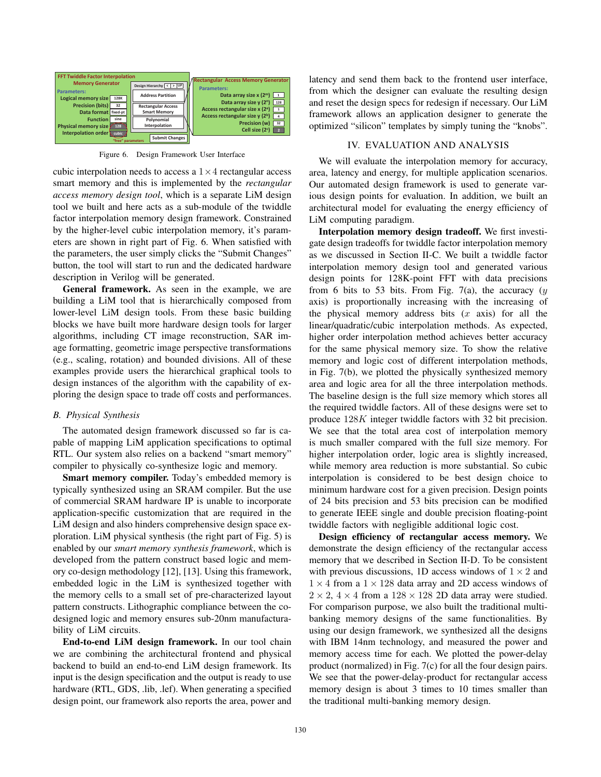

Figure 6. Design Framework User Interface

cubic interpolation needs to access a  $1 \times 4$  rectangular access smart memory and this is implemented by the *rectangular access memory design tool*, which is a separate LiM design tool we built and here acts as a sub-module of the twiddle factor interpolation memory design framework. Constrained by the higher-level cubic interpolation memory, it's parameters are shown in right part of Fig. 6. When satisfied with the parameters, the user simply clicks the "Submit Changes" button, the tool will start to run and the dedicated hardware description in Verilog will be generated.

General framework. As seen in the example, we are building a LiM tool that is hierarchically composed from lower-level LiM design tools. From these basic building blocks we have built more hardware design tools for larger algorithms, including CT image reconstruction, SAR image formatting, geometric image perspective transformations (e.g., scaling, rotation) and bounded divisions. All of these examples provide users the hierarchical graphical tools to design instances of the algorithm with the capability of exploring the design space to trade off costs and performances.

# *B. Physical Synthesis*

The automated design framework discussed so far is capable of mapping LiM application specifications to optimal RTL. Our system also relies on a backend "smart memory" compiler to physically co-synthesize logic and memory.

Smart memory compiler. Today's embedded memory is typically synthesized using an SRAM compiler. But the use of commercial SRAM hardware IP is unable to incorporate application-specific customization that are required in the LiM design and also hinders comprehensive design space exploration. LiM physical synthesis (the right part of Fig. 5) is enabled by our *smart memory synthesis framework*, which is developed from the pattern construct based logic and memory co-design methodology [12], [13]. Using this framework, embedded logic in the LiM is synthesized together with the memory cells to a small set of pre-characterized layout pattern constructs. Lithographic compliance between the codesigned logic and memory ensures sub-20nm manufacturability of LiM circuits.

End-to-end LiM design framework. In our tool chain we are combining the architectural frontend and physical backend to build an end-to-end LiM design framework. Its input is the design specification and the output is ready to use hardware (RTL, GDS, .lib, .lef). When generating a specified design point, our framework also reports the area, power and latency and send them back to the frontend user interface, from which the designer can evaluate the resulting design and reset the design specs for redesign if necessary. Our LiM framework allows an application designer to generate the optimized "silicon" templates by simply tuning the "knobs".

# IV. EVALUATION AND ANALYSIS

We will evaluate the interpolation memory for accuracy, area, latency and energy, for multiple application scenarios. Our automated design framework is used to generate various design points for evaluation. In addition, we built an architectural model for evaluating the energy efficiency of LiM computing paradigm.

Interpolation memory design tradeoff. We first investigate design tradeoffs for twiddle factor interpolation memory as we discussed in Section II-C. We built a twiddle factor interpolation memory design tool and generated various design points for 128K-point FFT with data precisions from 6 bits to 53 bits. From Fig. 7(a), the accuracy (*y* axis) is proportionally increasing with the increasing of the physical memory address bits (*x* axis) for all the linear/quadratic/cubic interpolation methods. As expected, higher order interpolation method achieves better accuracy for the same physical memory size. To show the relative memory and logic cost of different interpolation methods, in Fig. 7(b), we plotted the physically synthesized memory area and logic area for all the three interpolation methods. The baseline design is the full size memory which stores all the required twiddle factors. All of these designs were set to produce 128*K* integer twiddle factors with 32 bit precision. We see that the total area cost of interpolation memory is much smaller compared with the full size memory. For higher interpolation order, logic area is slightly increased, while memory area reduction is more substantial. So cubic interpolation is considered to be best design choice to minimum hardware cost for a given precision. Design points of 24 bits precision and 53 bits precision can be modified to generate IEEE single and double precision floating-point twiddle factors with negligible additional logic cost.

Design efficiency of rectangular access memory. We demonstrate the design efficiency of the rectangular access memory that we described in Section II-D. To be consistent with previous discussions, 1D access windows of  $1 \times 2$  and  $1 \times 4$  from a  $1 \times 128$  data array and 2D access windows of  $2 \times 2$ ,  $4 \times 4$  from a  $128 \times 128$  2D data array were studied. For comparison purpose, we also built the traditional multibanking memory designs of the same functionalities. By using our design framework, we synthesized all the designs with IBM 14nm technology, and measured the power and memory access time for each. We plotted the power-delay product (normalized) in Fig. 7(c) for all the four design pairs. We see that the power-delay-product for rectangular access memory design is about 3 times to 10 times smaller than the traditional multi-banking memory design.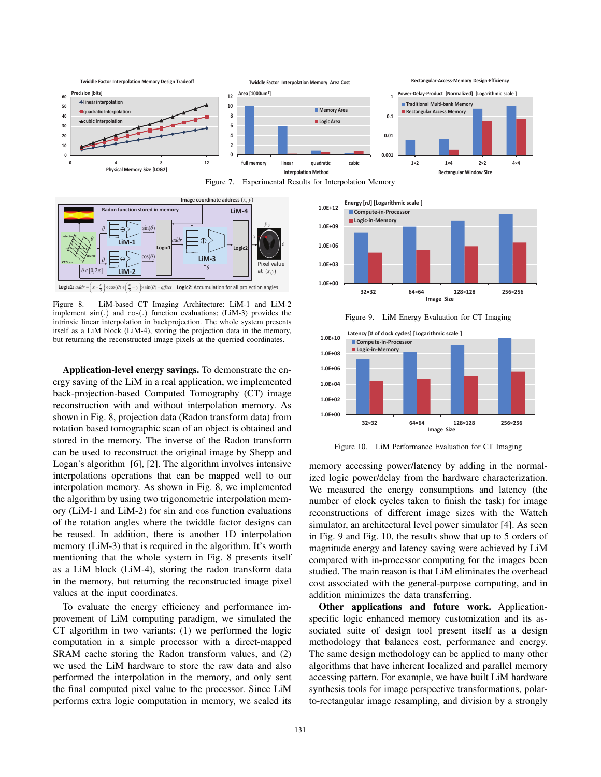





Figure 8. LiM-based CT Imaging Architecture: LiM-1 and LiM-2 implement sin(*.*) and cos(*.*) function evaluations; (LiM-3) provides the intrinsic linear interpolation in backprojection. The whole system presents itself as a LiM block (LiM-4), storing the projection data in the memory, but returning the reconstructed image pixels at the querried coordinates.

Application-level energy savings. To demonstrate the energy saving of the LiM in a real application, we implemented back-projection-based Computed Tomography (CT) image reconstruction with and without interpolation memory. As shown in Fig. 8, projection data (Radon transform data) from rotation based tomographic scan of an object is obtained and stored in the memory. The inverse of the Radon transform can be used to reconstruct the original image by Shepp and Logan's algorithm [6], [2]. The algorithm involves intensive interpolations operations that can be mapped well to our interpolation memory. As shown in Fig. 8, we implemented the algorithm by using two trigonometric interpolation memory (LiM-1 and LiM-2) for sin and cos function evaluations of the rotation angles where the twiddle factor designs can be reused. In addition, there is another 1D interpolation memory (LiM-3) that is required in the algorithm. It's worth mentioning that the whole system in Fig. 8 presents itself as a LiM block (LiM-4), storing the radon transform data in the memory, but returning the reconstructed image pixel values at the input coordinates.

To evaluate the energy efficiency and performance improvement of LiM computing paradigm, we simulated the CT algorithm in two variants: (1) we performed the logic computation in a simple processor with a direct-mapped SRAM cache storing the Radon transform values, and (2) we used the LiM hardware to store the raw data and also performed the interpolation in the memory, and only sent the final computed pixel value to the processor. Since LiM performs extra logic computation in memory, we scaled its



Figure 9. LiM Energy Evaluation for CT Imaging



Figure 10. LiM Performance Evaluation for CT Imaging

memory accessing power/latency by adding in the normalized logic power/delay from the hardware characterization. We measured the energy consumptions and latency (the number of clock cycles taken to finish the task) for image reconstructions of different image sizes with the Wattch simulator, an architectural level power simulator [4]. As seen in Fig. 9 and Fig. 10, the results show that up to 5 orders of magnitude energy and latency saving were achieved by LiM compared with in-processor computing for the images been studied. The main reason is that LiM eliminates the overhead cost associated with the general-purpose computing, and in addition minimizes the data transferring.

Other applications and future work. Applicationspecific logic enhanced memory customization and its associated suite of design tool present itself as a design methodology that balances cost, performance and energy. The same design methodology can be applied to many other algorithms that have inherent localized and parallel memory accessing pattern. For example, we have built LiM hardware synthesis tools for image perspective transformations, polarto-rectangular image resampling, and division by a strongly